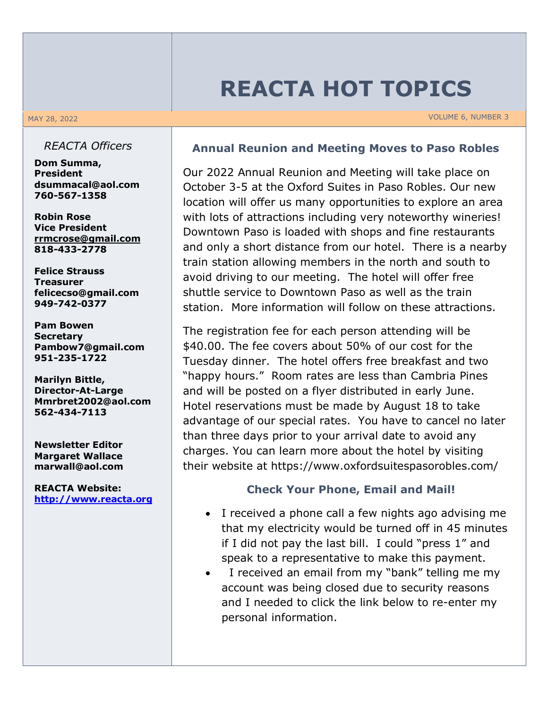# **REACTA HOT TOPICS**

MAY 28, 2022 VOLUME 6, NUMBER 3

#### *REACTA Officers*

**Dom Summa, President dsummacal@aol.com 760-567-1358**

**Robin Rose Vice President rrmcrose@gmail.com 818-433-2778**

**Felice Strauss Treasurer felicecso@gmail.com 949-742-0377**

**Pam Bowen Secretary Pambow7@gmail.com 951-235-1722**

**Marilyn Bittle, Director-At-Large Mmrbret2002@aol.com 562-434-7113**

**Newsletter Editor Margaret Wallace marwall@aol.com**

**REACTA Website: http://www.reacta.org**

### **Annual Reunion and Meeting Moves to Paso Robles**

Our 2022 Annual Reunion and Meeting will take place on October 3-5 at the Oxford Suites in Paso Robles. Our new location will offer us many opportunities to explore an area with lots of attractions including very noteworthy wineries! Downtown Paso is loaded with shops and fine restaurants and only a short distance from our hotel. There is a nearby train station allowing members in the north and south to avoid driving to our meeting. The hotel will offer free shuttle service to Downtown Paso as well as the train station. More information will follow on these attractions.

The registration fee for each person attending will be \$40.00. The fee covers about 50% of our cost for the Tuesday dinner. The hotel offers free breakfast and two "happy hours." Room rates are less than Cambria Pines and will be posted on a flyer distributed in early June. Hotel reservations must be made by August 18 to take advantage of our special rates. You have to cancel no later than three days prior to your arrival date to avoid any charges. You can learn more about the hotel by visiting their website at https://www.oxfordsuitespasorobles.com/

#### **Check Your Phone, Email and Mail!**

- I received a phone call a few nights ago advising me that my electricity would be turned off in 45 minutes if I did not pay the last bill. I could "press 1" and speak to a representative to make this payment.
- I received an email from my "bank" telling me my account was being closed due to security reasons and I needed to click the link below to re-enter my personal information.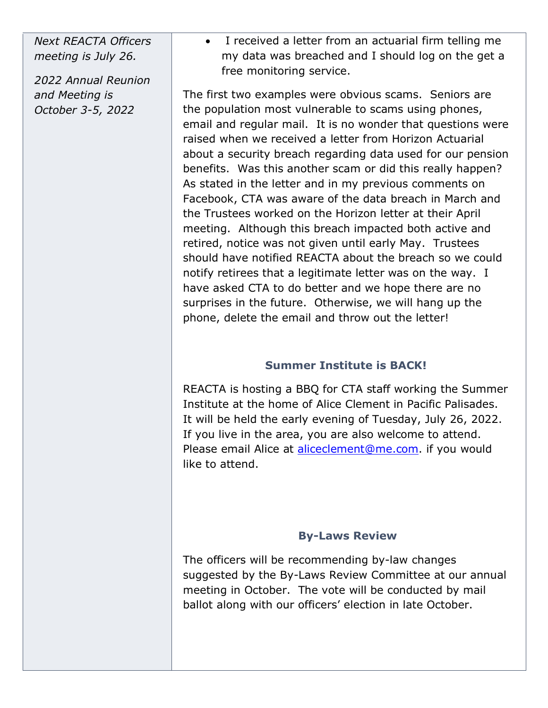*Next REACTA Officers meeting is July 26.*

*2022 Annual Reunion and Meeting is October 3-5, 2022*

• I received a letter from an actuarial firm telling me my data was breached and I should log on the get a free monitoring service.

The first two examples were obvious scams. Seniors are the population most vulnerable to scams using phones, email and regular mail. It is no wonder that questions were raised when we received a letter from Horizon Actuarial about a security breach regarding data used for our pension benefits. Was this another scam or did this really happen? As stated in the letter and in my previous comments on Facebook, CTA was aware of the data breach in March and the Trustees worked on the Horizon letter at their April meeting. Although this breach impacted both active and retired, notice was not given until early May. Trustees should have notified REACTA about the breach so we could notify retirees that a legitimate letter was on the way. I have asked CTA to do better and we hope there are no surprises in the future. Otherwise, we will hang up the phone, delete the email and throw out the letter!

# **Summer Institute is BACK!**

REACTA is hosting a BBQ for CTA staff working the Summer Institute at the home of Alice Clement in Pacific Palisades. It will be held the early evening of Tuesday, July 26, 2022. If you live in the area, you are also welcome to attend. Please email Alice at aliceclement@me.com. if you would like to attend.

#### **By-Laws Review**

The officers will be recommending by-law changes suggested by the By-Laws Review Committee at our annual meeting in October. The vote will be conducted by mail ballot along with our officers' election in late October.